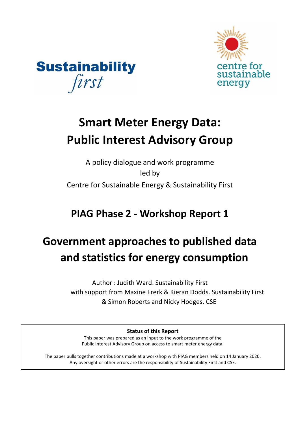



# **Smart Meter Energy Data: Public Interest Advisory Group**

A policy dialogue and work programme led by Centre for Sustainable Energy & Sustainability First

**PIAG Phase 2 - Workshop Report 1** 

# **Government approaches to published data and statistics for energy consumption**

Author : Judith Ward. Sustainability First with support from Maxine Frerk & Kieran Dodds. Sustainability First & Simon Roberts and Nicky Hodges. CSE

**Status of this Report** 

This paper was prepared as an input to the work programme of the Public Interest Advisory Group on access to smart meter energy data.

The paper pulls together contributions made at a workshop with PIAG members held on 14 January 2020. Any oversight or other errors are the responsibility of Sustainability First and CSE.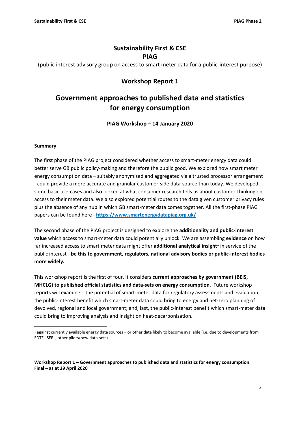## **Sustainability First & CSE PIAG**

(public interest advisory group on access to smart meter data for a public-interest purpose)

## **Workshop Report 1**

## **Government approaches to published data and statistics for energy consumption**

**PIAG Workshop – 14 January 2020**

#### **Summary**

The first phase of the PIAG project considered whether access to smart-meter energy data could better serve GB public policy-making and therefore the public good. We explored how smart meter energy consumption data – suitably anonymised and aggregated via a trusted processor arrangement - could provide a more accurate and granular customer-side data-source than today. We developed some basic use-cases and also looked at what consumer research tells us about customer-thinking on access to their meter data. We also explored potential routes to the data given customer privacy rules plus the absence of any hub in which GB smart-meter data comes together. All the first-phase PIAG papers can be found here - **<https://www.smartenergydatapiag.org.uk/>**

The second phase of the PIAG project is designed to explore the **additionality and public-interest value** which access to smart-meter data could potentially unlock. We are assembling **evidence** on how far increased access to smart meter data might offer **additional analytical insight**<sup>1</sup> in service of the public interest - **be this to government, regulators, national advisory bodies or public-interest bodies more widely.** 

This workshop report is the first of four. It considers **current approaches by government (BEIS, MHCLG) to published official statistics and data-sets on energy consumption**. Future workshop reports will examine : the potential of smart-meter data for regulatory assessments and evaluation; the public-interest benefit which smart-meter data could bring to energy and net-zero planning of devolved, regional and local government; and, last, the public-interest benefit which smart-meter data could bring to improving analysis and insight on heat-decarbonisation.

 $1$  against currently available energy data sources – or other data likely to become available (i.e. due to developments from EDTF , SERL, other pilots/new data-sets)

**Workshop Report 1 – Government approaches to published data and statistics for energy consumption Final – as at 29 April 2020**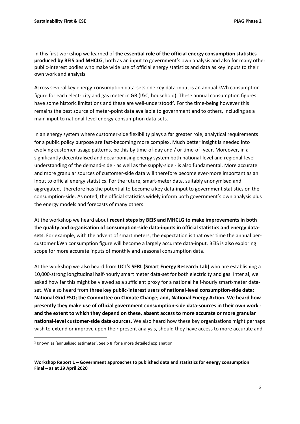In this first workshop we learned of **the essential role of the official energy consumption statistics produced by BEIS and MHCLG**, both as an input to government's own analysis and also for many other public-interest bodies who make wide use of official energy statistics and data as key inputs to their own work and analysis.

Across several key energy-consumption data-sets one key data-input is an annual kWh consumption figure for each electricity and gas meter in GB (I&C, household). These annual consumption figures have some historic limitations and these are well-understood<sup>2</sup>. For the time-being however this remains the best source of meter-point data available to government and to others, including as a main input to national-level energy-consumption data-sets.

In an energy system where customer-side flexibility plays a far greater role, analytical requirements for a public policy purpose are fast-becoming more complex. Much better insight is needed into evolving customer-usage patterns, be this by time-of-day and / or time-of -year. Moreover, in a significantly decentralised and decarbonising energy system both national-level and regional-level understanding of the demand-side - as well as the supply-side - is also fundamental. More accurate and more granular sources of customer-side data will therefore become ever-more important as an input to official energy statistics. For the future, smart-meter data, suitably anonymised and aggregated, therefore has the potential to become a key data-input to government statistics on the consumption-side. As noted, the official statistics widely inform both government's own analysis plus the energy models and forecasts of many others.

At the workshop we heard about **recent steps by BEIS and MHCLG to make improvements in both the quality and organisation of consumption-side data-inputs in official statistics and energy datasets**. For example, with the advent of smart meters, the expectation is that over time the annual percustomer kWh consumption figure will become a largely accurate data-input. BEIS is also exploring scope for more accurate inputs of monthly and seasonal consumption data.

At the workshop we also heard from **UCL's SERL (Smart Energy Research Lab)** who are establishing a 10,000-strong longitudinal half-hourly smart meter data-set for both electricity and gas. Inter al, we asked how far this might be viewed as a sufficient proxy for a national half-hourly smart-meter dataset. We also heard from **three key public-interest users of national-level consumption-side data: National Grid ESO; the Committee on Climate Change; and, National Energy Action. We heard how presently they make use of official government consumption-side data-sources in their own work and the extent to which they depend on these, absent access to more accurate or more granular national-level customer-side data-sources.** We also heard how these key organisations might perhaps wish to extend or improve upon their present analysis, should they have access to more accurate and

<sup>2</sup> Known as 'annualised estimates'. See p 8 for a more detailed explanation.

**Workshop Report 1 – Government approaches to published data and statistics for energy consumption Final – as at 29 April 2020**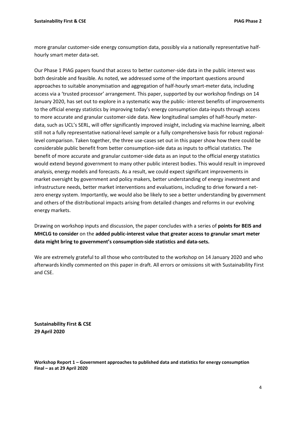more granular customer-side energy consumption data, possibly via a nationally representative halfhourly smart meter data-set.

Our Phase 1 PIAG papers found that access to better customer-side data in the public interest was both desirable and feasible. As noted, we addressed some of the important questions around approaches to suitable anonymisation and aggregation of half-hourly smart-meter data, including access via a 'trusted processor' arrangement. This paper, supported by our workshop findings on 14 January 2020, has set out to explore in a systematic way the public- interest benefits of improvements to the official energy statistics by improving today's energy consumption data-inputs through access to more accurate and granular customer-side data. New longitudinal samples of half-hourly meterdata, such as UCL's SERL, will offer significantly improved insight, including via machine learning, albeit still not a fully representative national-level sample or a fully comprehensive basis for robust regionallevel comparison. Taken together, the three use-cases set out in this paper show how there could be considerable public benefit from better consumption-side data as inputs to official statistics. The benefit of more accurate and granular customer-side data as an input to the official energy statistics would extend beyond government to many other public interest bodies. This would result in improved analysis, energy models and forecasts. As a result, we could expect significant improvements in market oversight by government and policy makers, better understanding of energy investment and infrastructure needs, better market interventions and evaluations, including to drive forward a netzero energy system. Importantly, we would also be likely to see a better understanding by government and others of the distributional impacts arising from detailed changes and reforms in our evolving energy markets.

Drawing on workshop inputs and discussion, the paper concludes with a series of **points for BEIS and MHCLG to consider** on the **added public-interest value that greater access to granular smart meter data might bring to government's consumption-side statistics and data-sets.**

We are extremely grateful to all those who contributed to the workshop on 14 January 2020 and who afterwards kindly commented on this paper in draft. All errors or omissions sit with Sustainability First and CSE.

**Sustainability First & CSE 29 April 2020**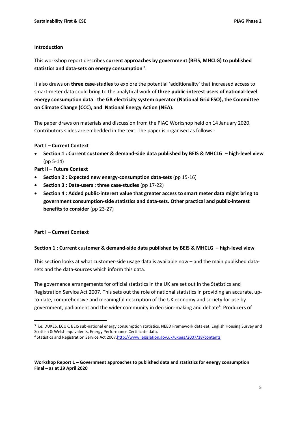#### **Introduction**

This workshop report describes **current approaches by government (BEIS, MHCLG) to published**  statistics and data-sets on energy consumption<sup>3</sup>.

It also draws on **three case-studies** to explore the potential 'additionality' that increased access to smart-meter data could bring to the analytical work of **three public-interest users of national-level energy consumption data** : **the GB electricity system operator (National Grid ESO), the Committee on Climate Change (CCC), and National Energy Action (NEA).** 

The paper draws on materials and discussion from the PIAG Workshop held on 14 January 2020. Contributors slides are embedded in the text. The paper is organised as follows :

#### **Part I – Current Context**

• **Section 1 : Current customer & demand-side data published by BEIS & MHCLG – high-level view** (pp 5-14)

**Part II – Future Context**

- **Section 2 : Expected new energy-consumption data-sets** (pp 15-16)
- **Section 3 : Data-users : three case-studies** (pp 17-22)
- **Section 4 : Added public-interest value that greater access to smart meter data might bring to government consumption-side statistics and data-sets. Other practical and public-interest benefits to consider** (pp 23-27)

#### **Part I – Current Context**

#### **Section 1 : Current customer & demand-side data published by BEIS & MHCLG – high-level view**

This section looks at what customer-side usage data is available now – and the main published datasets and the data-sources which inform this data.

The governance arrangements for official statistics in the UK are set out in the Statistics and Registration Service Act 2007. This sets out the role of national statistics in providing an accurate, upto-date, comprehensive and meaningful description of the UK economy and society for use by government, parliament and the wider community in decision-making and debate<sup>4</sup>. Producers of

<sup>3</sup> i.e. DUKES, ECUK, BEIS sub-national energy consumption statistics, NEED Framework data-set, English Housing Survey and Scottish & Welsh equivalents, Energy Performance Certificate data.

<sup>4</sup> Statistics and Registration Service Act 200[7.http://www.legislation.gov.uk/ukpga/2007/18/contents](http://www.legislation.gov.uk/ukpga/2007/18/contents)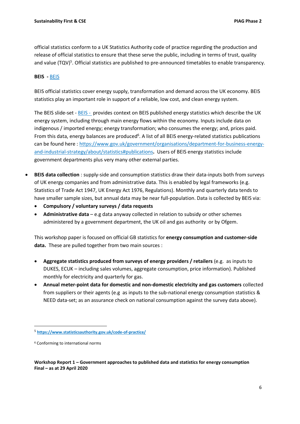official statistics conform to a UK Statistics Authority code of practice regarding the production and release of official statistics to ensure that these serve the public, including in terms of trust, quality and value (TQV)<sup>5</sup>. Official statistics are published to pre-announced timetables to enable transparency.

#### **BEIS -** [BEIS](https://www.sustainabilityfirst.org.uk/docs/BEIS%20-%20PIAG%20Slides%20-%20Energy%20Consumption%20-%20Jan%202020.pdf)

BEIS official statistics cover energy supply, transformation and demand across the UK economy. BEIS statistics play an important role in support of a reliable, low cost, and clean energy system.

The BEIS slide-set - [BEIS](https://www.sustainabilityfirst.org.uk/docs/BEIS%20-%20PIAG%20Slides%20-%20Energy%20Consumption%20-%20Jan%202020.pdf) - provides context on BEIS published energy statistics which describe the UK energy system, including through main energy flows within the economy. Inputs include data on indigenous / imported energy; energy transformation; who consumes the energy; and, prices paid. From this data, energy balances are produced<sup>6</sup>. A list of all BEIS energy-related statistics publications can be found here : [https://www.gov.uk/government/organisations/department-for-business-energy](https://www.gov.uk/government/organisations/department-for-business-energy-and-industrial-strategy/about/statistics#publications)[and-industrial-strategy/about/statistics#publications](https://www.gov.uk/government/organisations/department-for-business-energy-and-industrial-strategy/about/statistics#publications)**.** Users of BEIS energy statistics include government departments plus very many other external parties.

- **BEIS data collection** : supply-side and consumption statistics draw their data-inputs both from surveys of UK energy companies and from administrative data. This is enabled by legal frameworks (e.g. Statistics of Trade Act 1947, UK Energy Act 1976, Regulations). Monthly and quarterly data tends to have smaller sample sizes, but annual data may be near full-population. Data is collected by BEIS via:
	- **Compulsory / voluntary surveys / data requests**
	- **Administrative data** e.g data anyway collected in relation to subsidy or other schemes administered by a government department, the UK oil and gas authority or by Ofgem.

This workshop paper is focused on official GB statistics for **energy consumption and customer-side data.** These are pulled together from two main sources :

- **Aggregate statistics produced from surveys of energy providers / retailers** (e.g. as inputs to DUKES, ECUK – including sales volumes, aggregate consumption, price information). Published monthly for electricity and quarterly for gas.
- **Annual meter-point data for domestic and non-domestic electricity and gas customers** collected from suppliers or their agents (e.g as inputs to the sub-national energy consumption statistics & NEED data-set; as an assurance check on national consumption against the survey data above).

<sup>5</sup> **<https://www.statisticsauthority.gov.uk/code-of-practice/>**

<sup>6</sup> Conforming to international norms

**Workshop Report 1 – Government approaches to published data and statistics for energy consumption Final – as at 29 April 2020**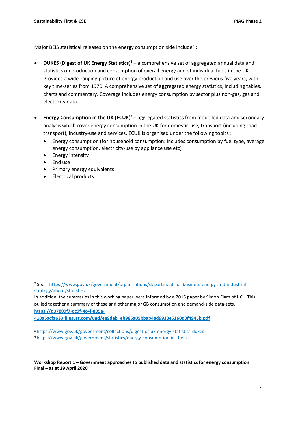Major BEIS statistical releases on the energy consumption side include<sup>7</sup>:

- **DUKES (Digest of UK Energy Statistics)<sup>8</sup>** a comprehensive set of aggregated annual data and statistics on production and consumption of overall energy and of individual fuels in the UK. Provides a wide-ranging picture of energy production and use over the previous five years, with key time-series from 1970. A comprehensive set of aggregated energy statistics, including tables, charts and commentary. Coverage includes energy consumption by sector plus non-gas, gas and electricity data.
- **Energy Consumption in the UK (ECUK)<sup>9</sup>** aggregated statistics from modelled data and secondary analysis which cover energy consumption in the UK for domestic-use, transport (including road transport), industry-use and services. ECUK is organised under the following topics :
	- Energy consumption (for household consumption: includes consumption by fuel type, average energy consumption, electricity-use by appliance use etc)
	- Energy intensity
	- End use
	- Primary energy equivalents
	- Electrical products.

<sup>&</sup>lt;sup>7</sup> See - [https://www.gov.uk/government/organisations/department-for-business-energy-and-industrial](https://www.gov.uk/government/organisations/department-for-business-energy-and-industrial-strategy/about/statistics)[strategy/about/statistics](https://www.gov.uk/government/organisations/department-for-business-energy-and-industrial-strategy/about/statistics)

In addition, the summaries in this working paper were informed by a 2016 paper by Simon Elam of UCL. This pulled together a summary of these and other major GB consumption and demand-side data-sets. **[https://d37809f7-dc9f-4c4f-835a-](https://d37809f7-dc9f-4c4f-835a-410a5acfa633.filesusr.com/ugd/ea9deb_eb986a05bbab4ad9933e5160d0f4945b.pdf)**

**[<sup>410</sup>a5acfa633.filesusr.com/ugd/ea9deb\\_eb986a05bbab4ad9933e5160d0f4945b.pdf](https://d37809f7-dc9f-4c4f-835a-410a5acfa633.filesusr.com/ugd/ea9deb_eb986a05bbab4ad9933e5160d0f4945b.pdf)**

<sup>8</sup> <https://www.gov.uk/government/collections/digest-of-uk-energy-statistics-dukes>

<sup>9</sup> <https://www.gov.uk/government/statistics/energy-consumption-in-the-uk>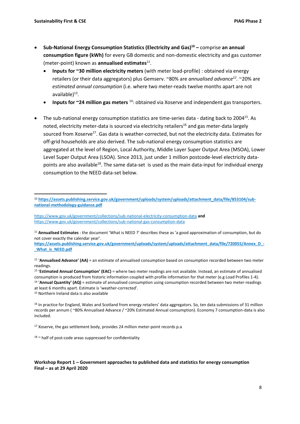- **Sub-National Energy Consumption Statistics (Electricity and Gas) <sup>10</sup> –** comprise **an annual consumption figure (kWh)** for every GB domestic and non-domestic electricity and gas customer (meter-point) known as **annualised estimates***<sup>11</sup>* .
	- **Inputs for ~30 million electricity meters** (with meter load-profile) : obtained via energy retailers (or their data aggregators) plus Gemserv. ~80% are *annualised advance<sup>12</sup> .* ~20% are *estimated annual consumption* (i.e. where two meter-reads twelve months apart are not available)<sup>13</sup>.
	- **Inputs for ~24 million gas meters** <sup>14</sup>: obtained via Xoserve and independent gas transporters.
- The sub-national energy consumption statistics are time-series data dating back to 2004<sup>15</sup>. As noted, electricity meter-data is sourced via electricity retailers<sup>16</sup> and gas meter-data largely sourced from Xoserve<sup>17</sup>. Gas data is weather-corrected, but not the electricity data. Estimates for off-grid households are also derived. The sub-national energy consumption statistics are aggregated at the level of Region, Local Authority, Middle Layer Super Output Area (MSOA), Lower Level Super Output Area (LSOA). Since 2013, just under 1 million postcode-level electricity datapoints are also available<sup>18</sup>. The same data-set is used as the main data-input for individual energy consumption to the NEED data-set below.

**[https://assets.publishing.service.gov.uk/government/uploads/system/uploads/attachment\\_data/file/720055/Annex\\_D\\_-](https://assets.publishing.service.gov.uk/government/uploads/system/uploads/attachment_data/file/720055/Annex_D_-_What_is_NEED.pdf) [\\_What\\_is\\_NEED.pdf](https://assets.publishing.service.gov.uk/government/uploads/system/uploads/attachment_data/file/720055/Annex_D_-_What_is_NEED.pdf)**

<sup>12</sup> 'Annualised Advance' (AA) = an estimate of annualised consumption based on consumption recorded between two meter readings.

<sup>13</sup> 'Estimated Annual Consumption' (EAC) = where two meter readings are not available. Instead, an estimate of annualised consumption is produced from historic information coupled with profile information for that meter (e.g Load Profiles 1-4). 14 '**Annual Quantity' (AQ)** = estimate of annualised consumption using consumption recorded between two meter-readings at least 6 months apart. Estimate is 'weather-corrected'.

<sup>15</sup> Northern Ireland data is also available

<sup>17</sup> Xoserve, the gas settlement body, provides 24 million meter-point records p.a

<sup>&</sup>lt;sup>10</sup> [https://assets.publishing.service.gov.uk/government/uploads/system/uploads/attachment\\_data/file/853104/sub](https://assets.publishing.service.gov.uk/government/uploads/system/uploads/attachment_data/file/853104/sub-national-methodology-guidance.pdf)**[national-methodology-guidance.pdf](https://assets.publishing.service.gov.uk/government/uploads/system/uploads/attachment_data/file/853104/sub-national-methodology-guidance.pdf)**

<https://www.gov.uk/government/collections/sub-national-electricity-consumption-data> **and**  <https://www.gov.uk/government/collections/sub-national-gas-consumption-data>

<sup>11</sup> **Annualised Estimates** : the document 'What is NEED ?' describes these as 'a good approximation of consumption, but do not cover exactly the calendar year'.

<sup>&</sup>lt;sup>16</sup> In practice for England, Wales and Scotland from energy retailers' data aggregators. So, ten data submissions of 31 million records per annum ( ~80% Annualised Advance / ~20% Estimated Annual consumption). Economy 7 consumption-data is also included.

 $18 \sim$  half of post-code areas suppressed for confidentiality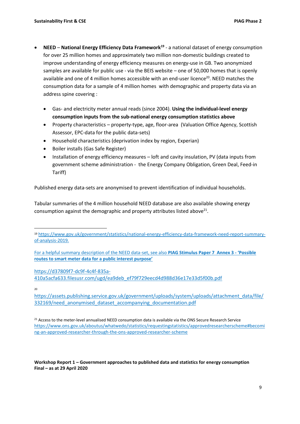- **NEED National Energy Efficiency Data Framework<sup>19</sup>** a national dataset of energy consumption for over 25 million homes and approximately two million non-domestic buildings created to improve understanding of energy efficiency measures on energy-use in GB. Two anonymized samples are available for public use - via the BEIS website – one of 50,000 homes that is openly available and one of 4 million homes accessible with an end-user licence<sup>20</sup>. NEED matches the consumption data for a sample of 4 million homes with demographic and property data via an address spine covering :
	- Gas- and electricity meter annual reads (since 2004). **Using the individual-level energy consumption inputs from the sub-national energy consumption statistics above**
	- Property characteristics property-type, age, floor-area (Valuation Office Agency, Scottish Assessor, EPC-data for the public data-sets)
	- Household characteristics (deprivation index by region, Experian)
	- Boiler installs (Gas Safe Register)
	- Installation of energy efficiency measures loft and cavity insulation, PV (data inputs from government scheme administration - the Energy Company Obligation, Green Deal, Feed-in Tariff)

Published energy data-sets are anonymised to prevent identification of individual households.

Tabular summaries of the 4 million household NEED database are also available showing energy consumption against the demographic and property attributes listed above<sup>21</sup>.

[https://d37809f7-dc9f-4c4f-835a-](https://d37809f7-dc9f-4c4f-835a-410a5acfa633.filesusr.com/ugd/ea9deb_ef79f729eecd4d988d36e17e33d5f00b.pdf)

[410a5acfa633.filesusr.com/ugd/ea9deb\\_ef79f729eecd4d988d36e17e33d5f00b.pdf](https://d37809f7-dc9f-4c4f-835a-410a5acfa633.filesusr.com/ugd/ea9deb_ef79f729eecd4d988d36e17e33d5f00b.pdf)

20

[https://assets.publishing.service.gov.uk/government/uploads/system/uploads/attachment\\_data/file/](https://assets.publishing.service.gov.uk/government/uploads/system/uploads/attachment_data/file/332169/need_anonymised_dataset_accompanying_documentation.pdf) 332169/need anonymised dataset accompanying documentation.pdf

<sup>19</sup> [https://www.gov.uk/government/statistics/national-energy-efficiency-data-framework-need-report-summary](https://www.gov.uk/government/statistics/national-energy-efficiency-data-framework-need-report-summary-of-analysis-2019)[of-analysis-2019.](https://www.gov.uk/government/statistics/national-energy-efficiency-data-framework-need-report-summary-of-analysis-2019) 

For a helpful summary description of the NEED data-set, see also **PIAG Stimulus Paper 7 Annex 3 - 'Possible routes to smart meter data for a public interest purpose'** 

<sup>&</sup>lt;sup>21</sup> Access to the meter-level annualised NEED consumption data is available via the ONS Secure Research Service [https://www.ons.gov.uk/aboutus/whatwedo/statistics/requestingstatistics/approvedresearcherscheme#becomi](https://www.ons.gov.uk/aboutus/whatwedo/statistics/requestingstatistics/approvedresearcherscheme#becoming-an-approved-researcher-through-the-ons-approved-researcher-scheme) [ng-an-approved-researcher-through-the-ons-approved-researcher-scheme](https://www.ons.gov.uk/aboutus/whatwedo/statistics/requestingstatistics/approvedresearcherscheme#becoming-an-approved-researcher-through-the-ons-approved-researcher-scheme)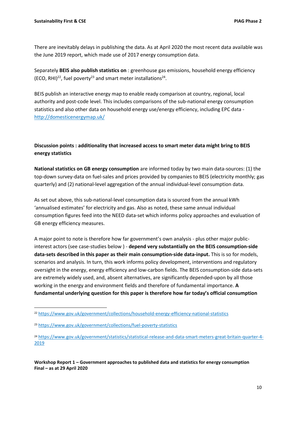There are inevitably delays in publishing the data. As at April 2020 the most recent data available was the June 2019 report, which made use of 2017 energy consumption data.

Separately **BEIS also publish statistics on** : greenhouse gas emissions, household energy efficiency (ECO, RHI)<sup>22</sup>, fuel poverty<sup>23</sup> and smart meter installations<sup>24</sup>.

BEIS publish an interactive energy map to enable ready comparison at country, regional, local authority and post-code level. This includes comparisons of the sub-national energy consumption statistics and also other data on household energy use/energy efficiency, including EPC data <http://domesticenergymap.uk/>

## **Discussion points : additionality that increased access to smart meter data might bring to BEIS energy statistics**

**National statistics on GB energy consumption** are informed today by two main data-sources: (1) the top-down survey-data on fuel-sales and prices provided by companies to BEIS (electricity monthly; gas quarterly) and (2) national-level aggregation of the annual individual-level consumption data.

As set out above, this sub-national-level consumption data is sourced from the annual kWh 'annualised estimates' for electricity and gas. Also as noted, these same annual individual consumption figures feed into the NEED data-set which informs policy approaches and evaluation of GB energy efficiency measures.

A major point to note is therefore how far government's own analysis - plus other major publicinterest actors (see case-studies below ) - **depend very substantially on the BEIS consumption-side data-sets described in this paper as their main consumption-side data-input.** This is so for models, scenarios and analysis. In turn, this work informs policy development, interventions and regulatory oversight in the energy, energy efficiency and low-carbon fields. The BEIS consumption-side data-sets are extremely widely used, and, absent alternatives, are significantly depended-upon by all those working in the energy and environment fields and therefore of fundamental importance. **A fundamental underlying question for this paper is therefore how far today's official consumption** 

<sup>22</sup> <https://www.gov.uk/government/collections/household-energy-efficiency-national-statistics>

<sup>23</sup> <https://www.gov.uk/government/collections/fuel-poverty-statistics>

<sup>24</sup> [https://www.gov.uk/government/statistics/statistical-release-and-data-smart-meters-great-britain-quarter-4-](https://www.gov.uk/government/statistics/statistical-release-and-data-smart-meters-great-britain-quarter-4-2019) [2019](https://www.gov.uk/government/statistics/statistical-release-and-data-smart-meters-great-britain-quarter-4-2019)

**Workshop Report 1 – Government approaches to published data and statistics for energy consumption Final – as at 29 April 2020**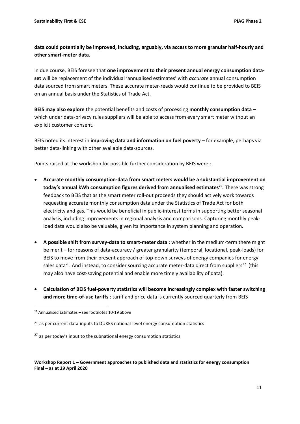## **data could potentially be improved, including, arguably, via access to more granular half-hourly and other smart-meter data.**

In due course, BEIS foresee that **one improvement to their present annual energy consumption dataset** will be replacement of the individual 'annualised estimates' with *accurate* annual consumption data sourced from smart meters. These accurate meter-reads would continue to be provided to BEIS on an annual basis under the Statistics of Trade Act.

**BEIS may also explore** the potential benefits and costs of processing **monthly consumption data** – which under data-privacy rules suppliers will be able to access from every smart meter without an explicit customer consent.

BEIS noted its interest in **improving data and information on fuel poverty** – for example, perhaps via better data-linking with other available data-sources.

Points raised at the workshop for possible further consideration by BEIS were :

- **Accurate monthly consumption-data from smart meters would be a substantial improvement on today's annual kWh consumption figures derived from annualised estimates<sup>25</sup> .** There was strong feedback to BEIS that as the smart meter roll-out proceeds they should actively work towards requesting accurate monthly consumption data under the Statistics of Trade Act for both electricity and gas. This would be beneficial in public-interest terms in supporting better seasonal analysis, including improvements in regional analysis and comparisons. Capturing monthly peakload data would also be valuable, given its importance in system planning and operation.
- **A possible shift from survey-data to smart-meter data** : whether in the medium-term there might be merit – for reasons of data-accuracy / greater granularity (temporal, locational, peak-loads) for BEIS to move from their present approach of top-down surveys of energy companies for energy sales data<sup>26</sup>. And instead, to consider sourcing accurate meter-data direct from suppliers<sup>27</sup> (this may also have cost-saving potential and enable more timely availability of data).
- **Calculation of BEIS fuel-poverty statistics will become increasingly complex with faster switching and more time-of-use tariffs** : tariff and price data is currently sourced quarterly from BEIS

<sup>25</sup> Annualised Estimates – see footnotes 10-19 above

<sup>26</sup> as per current data-inputs to DUKES national-level energy consumption statistics

 $27$  as per today's input to the subnational energy consumption statistics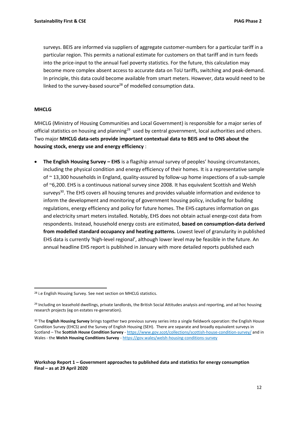surveys. BEIS are informed via suppliers of aggregate customer-numbers for a particular tariff in a particular region. This permits a national estimate for customers on that tariff and in turn feeds into the price-input to the annual fuel poverty statistics. For the future, this calculation may become more complex absent access to accurate data on ToU tariffs, switching and peak-demand. In principle, this data could become available from smart meters. However, data would need to be linked to the survey-based source<sup>28</sup> of modelled consumption data.

#### **MHCLG**

MHCLG (Ministry of Housing Communities and Local Government) is responsible for a major series of official statistics on housing and planning<sup>29</sup> used by central government, local authorities and others. Two major **MHCLG data-sets provide important contextual data to BEIS and to ONS about the housing stock, energy use and energy efficiency** :

• **The English Housing Survey – EHS** is a flagship annual survey of peoples' housing circumstances, including the physical condition and energy efficiency of their homes. It is a representative sample of ~ 13,300 households in England, quality-assured by follow-up home inspections of a sub-sample of ~6,200. EHS is a continuous national survey since 2008. It has equivalent Scottish and Welsh surveys<sup>30</sup>. The EHS covers all housing tenures and provides valuable information and evidence to inform the development and monitoring of government housing policy, including for building regulations, energy efficiency and policy for future homes. The EHS captures information on gas and electricity smart meters installed. Notably, EHS does not obtain actual energy-cost data from respondents. Instead, household energy costs are estimated, **based on consumption-data derived from modelled standard occupancy and heating patterns.** Lowest level of granularity in published EHS data is currently 'high-level regional', although lower level may be feasible in the future. An annual headline EHS report is published in January with more detailed reports published each

<sup>&</sup>lt;sup>28</sup> i.e English Housing Survey. See next section on MHCLG statistics.

<sup>&</sup>lt;sup>29</sup> Including on leasehold dwellings, private landlords, the British Social Attitudes analysis and reporting, and ad hoc housing research projects (eg on estates re-generation).

<sup>30</sup> The **English Housing Survey** brings together two previous survey series into a single fieldwork operation: the English House Condition Survey (EHCS) and the Survey of English Housing (SEH). There are separate and broadly equivalent surveys in Scotland – The **Scottish House Condition Survey** - <https://www.gov.scot/collections/scottish-house-condition-survey/> and in Wales - the Welsh Housing Conditions Survey - <https://gov.wales/welsh-housing-conditions-survey>

**Workshop Report 1 – Government approaches to published data and statistics for energy consumption Final – as at 29 April 2020**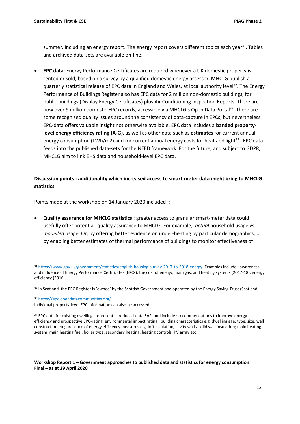summer, including an energy report. The energy report covers different topics each year<sup>31</sup>. Tables and archived data-sets are available on-line.

• **EPC data**: Energy Performance Certificates are required whenever a UK domestic property is rented or sold, based on a survey by a qualified domestic energy assessor. MHCLG publish a quarterly statistical release of EPC data in England and Wales, at local authority level<sup>32</sup>. The Energy Performance of Buildings Register also has EPC data for 2 million non-domestic buildings, for public buildings (Display Energy Certificates) plus Air Conditioning Inspection Reports. There are now over 9 million domestic EPC records, accessible via MHCLG's Open Data Portal<sup>33</sup>. There are some recognised quality issues around the consistency of data-capture in EPCs, but nevertheless EPC-data offers valuable insight not otherwise available. EPC data includes a **banded propertylevel energy efficiency rating (A-G)**, as well as other data such as **estimates** for current annual energy consumption (kWh/m2) and for current annual energy costs for heat and light<sup>34</sup>. EPC data feeds into the published data-sets for the NEED framework. For the future, and subject to GDPR, MHCLG aim to link EHS data and household-level EPC data.

### **Discussion points : additionality which increased access to smart-meter data might bring to MHCLG statistics**

Points made at the workshop on 14 January 2020 included :

• **Quality assurance for MHCLG statistics** : greater access to granular smart-meter data could usefully offer potential quality assurance to MHCLG. For example, *actual* household usage vs *modelled* usage. Or, by offering better evidence on under-heating by particular demographics; or, by enabling better estimates of thermal performance of buildings to monitor effectiveness of

<sup>33</sup> <https://epc.opendatacommunities.org/> Individual property-level EPC information can also be accessed

<sup>31</sup> <https://www.gov.uk/government/statistics/english-housing-survey-2017-to-2018-energy>**.** Examples include : awareness and influence of Energy Performance Certificates (EPCs), the cost of energy, main gas, and heating systems (2017-18), energy efficiency (2016).

<sup>32</sup> In Scotland, the EPC Register is 'owned' by the Scottish Government and operated by the Energy Saving Trust (Scotland).

<sup>34</sup> EPC data for existing dwellings represent a 'reduced-data SAP' and include : recommendations to improve energy efficiency and prospective EPC-rating; environmental impact rating; building characteristics e.g. dwelling age, type, size, wall construction etc; presence of energy efficiency measures e.g. loft insulation, cavity wall / solid wall insulation; main heating system, main heating fuel, boiler type, secondary heating, heating controls, PV array etc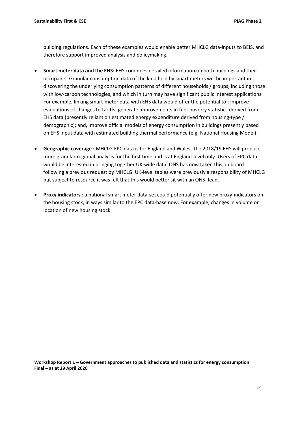building regulations. Each of these examples would enable better MHCLG data-inputs to BEIS, and therefore support improved analysis and policymaking.

- **Smart meter data and the EHS:** EHS combines detailed information on both buildings and their occupants. Granular consumption data of the kind held by smart meters will be important in discovering the underlying consumption patterns of different households / groups, including those with low-carbon technologies, and which in turn may have significant public interest applications. For example, linking smart-meter data with EHS data would offer the potential to : improve evaluations of changes to tariffs; generate improvements in fuel-poverty statistics derived from EHS data (presently reliant on estimated energy expenditure derived from housing-type / demographic); and, improve official models of energy consumption in buildings presently based on EHS input data with estimated building thermal performance (e.g. National Housing Model).
- **Geographic coverage :** MHCLG EPC data is for England and Wales. The 2018/19 EHS will produce more granular regional analysis for the first time and is at England-level only. Users of EPC data would be interested in bringing together UK-wide data. ONS has now taken this on board following a previous request by MHCLG. UK-level tables were previously a responsibility of MHCLG but subject to resource it was felt that this would better sit with an ONS- lead.
- **Proxy indicators** : a national smart meter data-set could potentially offer new proxy-indicators on the housing stock, in ways similar to the EPC data-base now. For example, changes in volume or location of new housing stock.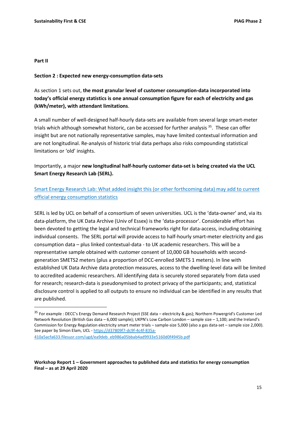#### **Part II**

#### **Section 2 : Expected new energy-consumption data-sets**

As section 1 sets out, **the most granular level of customer consumption-data incorporated into today's official energy statistics is one annual consumption figure for each of electricity and gas (kWh/meter), with attendant limitations**.

A small number of well-designed half-hourly data-sets are available from several large smart-meter trials which although somewhat historic, can be accessed for further analysis <sup>35</sup>. These can offer insight but are not nationally representative samples, may have limited contextual information and are not longitudinal. Re-analysis of historic trial data perhaps also risks compounding statistical limitations or 'old' insights.

Importantly, a major **new longitudinal half-hourly customer data-set is being created via the UCL Smart Energy Research Lab (SERL).** 

Smart Energy Research Lab: [What added insight this \(or other forthcoming data\) may add to current](https://www.sustainabilityfirst.org.uk/docs/piag_2_workshop_1_slides/PIAG_-_SERL_additionality_v02_1.pdf)  [official energy consumption statistics](https://www.sustainabilityfirst.org.uk/docs/piag_2_workshop_1_slides/PIAG_-_SERL_additionality_v02_1.pdf)

SERL is led by UCL on behalf of a consortium of seven universities. UCL is the 'data-owner' and, via its data-platform, the UK Data Archive (Univ of Essex) is the 'data-processor'. Considerable effort has been devoted to getting the legal and technical frameworks right for data-access, including obtaining individual consents. The SERL portal will provide access to half-hourly smart-meter electricity and gas consumption data – plus linked contextual-data - to UK academic researchers. This will be a representative sample obtained with customer consent of 10,000 GB households with secondgeneration SMETS2 meters (plus a proportion of DCC-enrolled SMETS 1 meters). In line with established UK Data Archive data protection measures, access to the dwelling-level data will be limited to accredited academic researchers. All identifying data is securely stored separately from data used for research; research-data is pseudonymised to protect privacy of the participants; and, statistical disclosure control is applied to all outputs to ensure no individual can be identified in any results that are published.

<sup>&</sup>lt;sup>35</sup> For example : DECC's Energy Demand Research Project (SSE data – electricity & gas); Northern Powergrid's Customer Led Network Revolution (British Gas data – 6,000 sample); UKPN's Low Carbon London – sample size – 1,100; and the Ireland's Commission for Energy Regulation electricity smart meter trials – sample-size 5,000 (also a gas data-set – sample size 2,000). See paper by Simon Elam, UCL - [https://d37809f7-dc9f-4c4f-835a-](https://d37809f7-dc9f-4c4f-835a-410a5acfa633.filesusr.com/ugd/ea9deb_eb986a05bbab4ad9933e5160d0f4945b.pdf)[410a5acfa633.filesusr.com/ugd/ea9deb\\_eb986a05bbab4ad9933e5160d0f4945b.pdf](https://d37809f7-dc9f-4c4f-835a-410a5acfa633.filesusr.com/ugd/ea9deb_eb986a05bbab4ad9933e5160d0f4945b.pdf)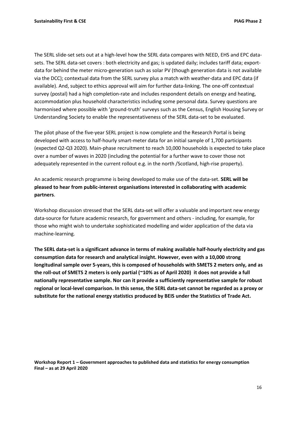The SERL slide-set sets out at a high-level how the SERL data compares with NEED, EHS and EPC datasets. The SERL data-set covers : both electricity and gas; is updated daily; includes tariff data; exportdata for behind the meter micro-generation such as solar PV (though generation data is not available via the DCC); contextual data from the SERL survey plus a match with weather-data and EPC data (if available). And, subject to ethics approval will aim for further data-linking. The one-off contextual survey (postal) had a high completion-rate and includes respondent details on energy and heating, accommodation plus household characteristics including some personal data. Survey questions are harmonised where possible with 'ground-truth' surveys such as the Census, English Housing Survey or Understanding Society to enable the representativeness of the SERL data-set to be evaluated.

The pilot phase of the five-year SERL project is now complete and the Research Portal is being developed with access to half-hourly smart-meter data for an initial sample of 1,700 participants (expected Q2-Q3 2020). Main-phase recruitment to reach 10,000 households is expected to take place over a number of waves in 2020 (including the potential for a further wave to cover those not adequately represented in the current rollout e.g. in the north /Scotland, high-rise property).

An academic research programme is being developed to make use of the data-set. **SERL will be pleased to hear from public-interest organisations interested in collaborating with academic partners**.

Workshop discussion stressed that the SERL data-set will offer a valuable and important new energy data-source for future academic research, for government and others - including, for example, for those who might wish to undertake sophisticated modelling and wider application of the data via machine-learning.

**The SERL data-set is a significant advance in terms of making available half-hourly electricity and gas consumption data for research and analytical insight. However, even with a 10,000 strong longitudinal sample over 5-years, this is composed of households with SMETS 2 meters only, and as the roll-out of SMETS 2 meters is only partial (~10% as of April 2020) it does not provide a full nationally representative sample. Nor can it provide a sufficiently representative sample for robust regional or local-level comparison. In this sense, the SERL data-set cannot be regarded as a proxy or substitute for the national energy statistics produced by BEIS under the Statistics of Trade Act.**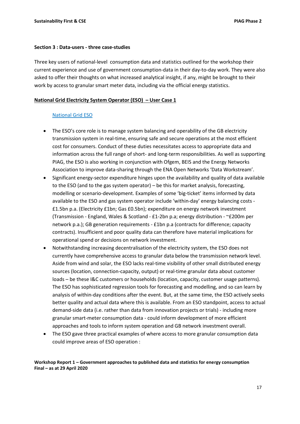#### **Section 3 : Data-users - three case-studies**

Three key users of national-level consumption data and statistics outlined for the workshop their current experience and use of government consumption-data in their day-to-day work. They were also asked to offer their thoughts on what increased analytical insight, if any, might be brought to their work by access to granular smart meter data, including via the official energy statistics.

#### **National Grid Electricity System Operator (ESO) – User Case 1**

#### [National Grid ESO](https://www.sustainabilityfirst.org.uk/docs/piag_2_workshop_1_slides/PIAG_20200114_Post_Comments.pdf)

- The ESO's core role is to manage system balancing and operability of the GB electricity transmission system in real-time, ensuring safe and secure operations at the most efficient cost for consumers. Conduct of these duties necessitates access to appropriate data and information across the full range of short- and long-term responsibilities. As well as supporting PIAG, the ESO is also working in conjunction with Ofgem, BEIS and the Energy Networks Association to improve data-sharing through the ENA Open Networks 'Data Workstream'.
- Significant energy-sector expenditure hinges upon the availability and quality of data available to the ESO (and to the gas system operator) – be this for market analysis, forecasting, modelling or scenario-development. Examples of some 'big-ticket' items informed by data available to the ESO and gas system operator include 'within-day' energy balancing costs - £1.5bn p.a. (Electricity £1bn; Gas £0.5bn); expenditure on energy network investment (Transmission - England, Wales & Scotland - £1-2bn p.a; energy distribution - ~£200m per network p.a.); GB generation requirements - £1bn p.a (contracts for difference; capacity contracts). Insufficient and poor quality data can therefore have material implications for operational spend or decisions on network investment.
- Notwithstanding increasing decentralisation of the electricity system, the ESO does not currently have comprehensive access to granular data below the transmission network level. Aside from wind and solar, the ESO lacks real-time visibility of other small distributed energy sources (location, connection-capacity, output) or real-time granular data about customer loads – be these I&C customers or households (location, capacity, customer usage patterns). The ESO has sophisticated regression tools for forecasting and modelling, and so can learn by analysis of within-day conditions after the event. But, at the same time, the ESO actively seeks better quality and actual data where this is available. From an ESO standpoint, access to actual demand-side data (i.e. rather than data from innovation projects or trials) - including more granular smart-meter consumption data - could inform development of more efficient approaches and tools to inform system operation and GB network investment overall.
- The ESO gave three practical examples of where access to more granular consumption data could improve areas of ESO operation :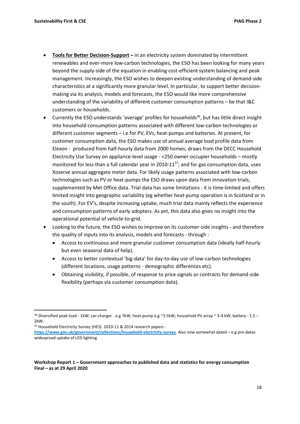- **Tools for Better Decision-Support –** in an electricity system dominated by intermittent renewables and ever-more low-carbon technologies, the ESO has been looking for many years beyond the supply-side of the equation in enabling cost-efficient system balancing and peak management. Increasingly, the ESO wishes to deepen existing understanding of demand-side characteristics at a significantly more granular level. In particular, to support better decisionmaking via its analysis, models and forecasts, the ESO would like more comprehensive understanding of the variability of different customer consumption patterns – be that I&C customers or households.
- Currently the ESO understands 'average' profiles for households<sup>36</sup>, but has little direct insight into household consumption patterns associated with different low-carbon technologies or different customer segments – i.e for PV, EVs, heat-pumps and batteries. At present, for customer consumption data, the ESO makes use of annual average load profile data from Elexon - produced from half-hourly data from 2000 homes; draws from the DECC Household Electricity Use Survey on appliance-level usage - <250 owner-occupier households – mostly monitored for less than a full calendar year in 2010-11<sup>37</sup>; and for gas consumption data, uses Xoserve annual aggregate meter data. For likely usage patterns associated with low-carbon technologies such as PV or heat-pumps the ESO draws upon data from innovation trials, supplemented by Met Office data. Trial data has some limitations : it is time-limited and offers limited insight into geographic variability (eg whether heat-pump operation is in Scotland or in the south). For EV's, despite increasing uptake, much trial data mainly reflects the experience and consumption patterns of early adopters. As yet, this data also gives no insight into the operational potential of vehicle-to-grid.
- Looking to the future, the ESO wishes to improve on its customer-side insights and therefore the quality of inputs into its analysis, models and forecasts - through :
	- Access to continuous and more granular customer consumption data (ideally half-hourly but even seasonal data of help).
	- Access to better contextual 'big-data' for day-to-day use of low-carbon technologies (different locations, usage patterns - demographic differences etc).
	- Obtaining visibility, if possible, of response to price signals or contracts for demand-side flexibility (perhaps via customer consumption data).

<sup>37</sup> Household Electricity Survey (HES). 2010-11 & 2014 research papers -

 $36$  Diversified peak load - 1kW; car-charger - e.g 7kW; heat-pump e.g ~3.5kW; household PV array ~ 3-4 kW; battery - 1.5 – 2kW.

**<https://www.gov.uk/government/collections/household-electricity-survey>**. Also now somewhat dated – e.g pre-dates widespread uptake of LED lighting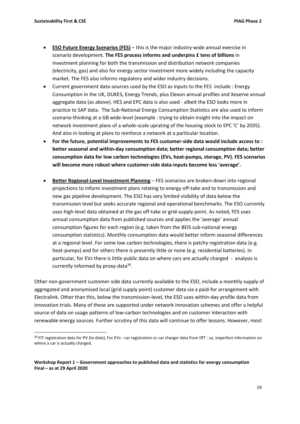- **ESO Future Energy Scenarios (FES)** this is the major industry-wide annual exercise in scenario development. **The FES process informs and underpins £ tens of billions** in investment planning for both the transmission and distribution network companies (electricity, gas) and also for energy sector investment more widely including the capacity market. The FES also informs regulatory and wider industry decisions.
- Current government data-sources used by the ESO as inputs to the FES include : Energy Consumption in the UK, DUKES, Energy Trends, plus Elexon annual profiles and Xoserve annual aggregate data (as above). HES and EPC data is also used - albeit the ESO looks more in practice to SAP data. The Sub-National Energy Consumption Statistics are also used to inform scenario-thinking at a GB wide-level (example : trying to obtain insight into the impact on network investment plans of a whole-scale uprating of the housing stock to EPC 'C' by 2035). And also in looking at plans to reinforce a network at a particular location.
- **For the future, potential improvements to FES customer-side data would include access to : better seasonal and within-day consumption data; better regional consumption data; better consumption data for low carbon technologies (EVs, heat-pumps, storage, PV). FES scenarios will become more robust where customer-side data-inputs become less 'average'.**
- **Better Regional-Level Investment Planning** FES scenarios are broken-down into regional projections to inform investment plans relating to energy off-take and to transmission and new gas pipeline development. The ESO has very limited visibility of data below the transmission level but seeks accurate regional and operational benchmarks. The ESO currently uses high-level data obtained at the gas off-take or grid-supply point. As noted, FES uses annual consumption data from published sources and applies the 'average' annual consumption figures for each region (e.g. taken from the BEIS sub-national energy consumption statistics). Monthly consumption data would better inform seasonal differences at a regional level. For some low carbon technologies, there is patchy registration data (e.g. heat-pumps) and for others there is presently little or none (e.g. residential batteries). In particular, for EVs there is little public data on where cars are actually charged - analysis is currently informed by proxy-data<sup>38</sup>.

Other non-government customer-side data currently available to the ESO, include a monthly supply of aggregated and anonymised local (grid supply point) customer data via a paid-for arrangement with Electralink. Other than this, below the transmission-level, the ESO uses within-day profile data from innovation trials. Many of these are supported under network innovation schemes and offer a helpful source of data on usage patterns of low-carbon technologies and on customer interaction with renewable energy sources. Further scrutiny of this data will continue to offer lessons. However, most

<sup>38</sup> FIT registration data for PV (to date); For EVs - car registration or car charger data from DfT : so, imperfect information on where a car is actually charged.

**Workshop Report 1 – Government approaches to published data and statistics for energy consumption Final – as at 29 April 2020**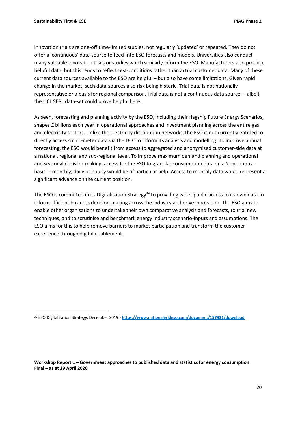innovation trials are one-off time-limited studies, not regularly 'updated' or repeated. They do not offer a 'continuous' data-source to feed-into ESO forecasts and models. Universities also conduct many valuable innovation trials or studies which similarly inform the ESO. Manufacturers also produce helpful data, but this tends to reflect test-conditions rather than actual customer data. Many of these current data sources available to the ESO are helpful – but also have some limitations. Given rapid change in the market, such data-sources also risk being historic. Trial-data is not nationally representative or a basis for regional comparison. Trial data is not a continuous data source – albeit the UCL SERL data-set could prove helpful here.

As seen, forecasting and planning activity by the ESO, including their flagship Future Energy Scenarios, shapes £ billions each year in operational approaches and investment planning across the entire gas and electricity sectors. Unlike the electricity distribution networks, the ESO is not currently entitled to directly access smart-meter data via the DCC to inform its analysis and modelling. To improve annual forecasting, the ESO would benefit from access to aggregated and anonymised customer-side data at a national, regional and sub-regional level. To improve maximum demand planning and operational and seasonal decision-making, access for the ESO to granular consumption data on a 'continuousbasis' – monthly, daily or hourly would be of particular help. Access to monthly data would represent a significant advance on the current position.

The ESO is committed in its Digitalisation Strategy<sup>39</sup> to providing wider public access to its own data to inform efficient business decision-making across the industry and drive innovation. The ESO aims to enable other organisations to undertake their own comparative analysis and forecasts, to trial new techniques, and to scrutinise and benchmark energy industry scenario-inputs and assumptions. The ESO aims for this to help remove barriers to market participation and transform the customer experience through digital enablement.

<sup>39</sup> ESO Digitalisation Strategy. December 2019 - **<https://www.nationalgrideso.com/document/157931/download>**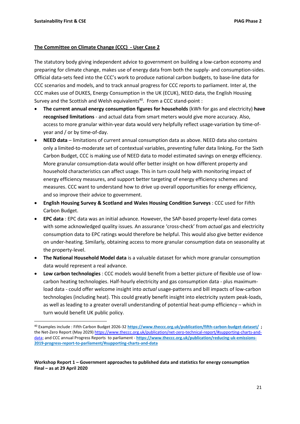#### **The Committee on Climate Change (CCC) - User Case 2**

The statutory body giving independent advice to government on building a low-carbon economy and preparing for climate change, makes use of energy data from both the supply- and consumption-sides. Official data-sets feed into the CCC's work to produce national carbon budgets, to base-line data for CCC scenarios and models, and to track annual progress for CCC reports to parliament. Inter al, the CCC makes use of DUKES, Energy Consumption in the UK (ECUK), NEED data, the English Housing Survey and the Scottish and Welsh equivalents<sup>40</sup>. From a CCC stand-point :

- **The current annual energy consumption figures for households** (kWh for gas and electricity) **have recognised limitations** - and actual data from smart meters would give more accuracy. Also, access to more granular within-year data would very helpfully reflect usage-variation by time-ofyear and / or by time-of-day.
- **NEED data**  limitations of current annual consumption data as above. NEED data also contains only a limited-to-moderate set of contextual variables, preventing fuller data linking**.** For the Sixth Carbon Budget, CCC is making use of NEED data to model estimated savings on energy efficiency. More granular consumption-data would offer better insight on how different property and household characteristics can affect usage. This in turn could help with monitoring impact of energy efficiency measures, and support better targeting of energy efficiency schemes and measures. CCC want to understand how to drive up overall opportunities for energy efficiency, and so improve their advice to government.
- **English Housing Survey & Scotland and Wales Housing Condition Surveys** : CCC used for Fifth Carbon Budget.
- **EPC data** : EPC data was an initial advance. However, the SAP-based property-level data comes with some acknowledged quality issues. An assurance 'cross-check' from *actual* gas and electricity consumption data to EPC ratings would therefore be helpful. This would also give better evidence on under-heating. Similarly, obtaining access to more granular consumption data on seasonality at the property-level.
- **The National Household Model data** is a valuable dataset for which more granular consumption data would represent a real advance.
- **Low carbon technologies** : CCC models would benefit from a better picture of flexible use of lowcarbon heating technologies. Half-hourly electricity and gas consumption data - plus maximumload data - could offer welcome insight into *actual* usage-patterns and bill impacts of low-carbon technologies (including heat). This could greatly benefit insight into electricity system peak-loads, as well as leading to a greater overall understanding of potential heat-pump efficiency – which in turn would benefit UK public policy.

<sup>40</sup> Examples include : Fifth Carbon Budget 2026-32 **<https://www.theccc.org.uk/publication/fifth-carbon-budget-dataset/>;**  the Net-Zero Report (May 2029) [https://www.theccc.org.uk/publication/net-zero-technical-report/#supporting-charts-and](https://www.theccc.org.uk/publication/net-zero-technical-report/#supporting-charts-and-data)[data;](https://www.theccc.org.uk/publication/net-zero-technical-report/#supporting-charts-and-data) and CCC annual Progress Reports to parliament - **[https://www.theccc.org.uk/publication/reducing-uk-emissions-](https://www.theccc.org.uk/publication/reducing-uk-emissions-2019-progress-report-to-parliament/#supporting-charts-and-data)[2019-progress-report-to-parliament/#supporting-charts-and-data](https://www.theccc.org.uk/publication/reducing-uk-emissions-2019-progress-report-to-parliament/#supporting-charts-and-data)**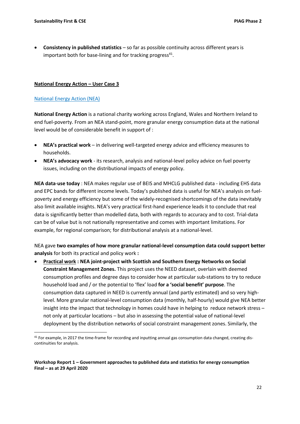• **Consistency in published statistics** – so far as possible continuity across different years is important both for base-lining and for tracking progress $41$ .

#### **National Energy Action – User Case 3**

#### [National Energy Action \(NEA\)](https://www.sustainabilityfirst.org.uk/docs/piag_2_workshop_1_slides/NEA_Slides_for_SF_Data_Workshop.pdf)

**National Energy Action** is a national charity working across England, Wales and Northern Ireland to end fuel-poverty. From an NEA stand-point, more granular energy consumption data at the national level would be of considerable benefit in support of :

- **NEA's practical work** in delivering well-targeted energy advice and efficiency measures to households.
- **NEA's advocacy work** its research, analysis and national-level policy advice on fuel poverty issues, including on the distributional impacts of energy policy.

**NEA data**-**use today** : NEA makes regular use of BEIS and MHCLG published data - including EHS data and EPC bands for different income levels. Today's published data is useful for NEA's analysis on fuelpoverty and energy efficiency but some of the widely-recognised shortcomings of the data inevitably also limit available insights. NEA's very practical first-hand experience leads it to conclude that real data is significantly better than modelled data, both with regards to accuracy and to cost. Trial-data can be of value but is not nationally representative and comes with important limitations. For example, for regional comparison; for distributional analysis at a national-level.

NEA gave **two examples of how more granular national-level consumption data could support better analysis** for both its practical and policy work **:**

• **Practical work : NEA joint-project with Scottish and Southern Energy Networks on Social Constraint Management Zones.** This project uses the NEED dataset, overlain with deemed consumption profiles and degree days to consider how at particular sub-stations to try to reduce household load and / or the potential to 'flex' load **for a 'social benefit' purpose**. The consumption data captured in NEED is currently annual (and partly estimated) and so very highlevel. More granular national-level consumption data (monthly, half-hourly) would give NEA better insight into the impact that technology in homes could have in helping to reduce network stress – not only at particular locations – but also in assessing the potential value of national-level deployment by the distribution networks of social constraint management zones. Similarly, the

<sup>41</sup> For example, in 2017 the time-frame for recording and inputting annual gas consumption data changed, creating discontinuities for analysis.

**Workshop Report 1 – Government approaches to published data and statistics for energy consumption Final – as at 29 April 2020**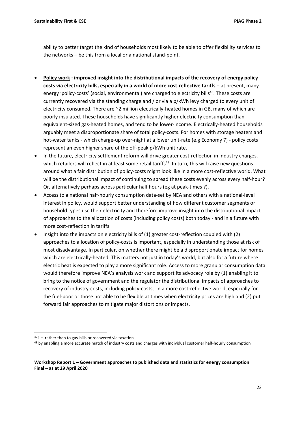ability to better target the kind of households most likely to be able to offer flexibility services to the networks – be this from a local or a national stand-point.

- **Policy work : improved insight into the distributional impacts of the recovery of energy policy**  costs via electricity bills, especially in a world of more cost-reflective tariffs - at present, many energy 'policy-costs' (social, environmental) are charged to electricity bills<sup>42</sup>. These costs are currently recovered via the standing charge and / or via a p/kWh levy charged to every unit of electricity consumed. There are ~2 million electrically-heated homes in GB, many of which are poorly insulated. These households have significantly higher electricity consumption than equivalent-sized gas-heated homes, and tend to be lower-income. Electrically-heated households arguably meet a disproportionate share of total policy-costs. For homes with storage heaters and hot-water tanks - which charge-up over-night at a lower unit-rate (e.g Economy 7) - policy costs represent an even higher share of the off-peak p/kWh unit rate.
- In the future, electricity settlement reform will drive greater cost-reflection in industry charges, which retailers will reflect in at least some retail tariffs<sup>43</sup>. In turn, this will raise new questions around what a fair distribution of policy-costs might look like in a more cost-reflective world. What will be the distributional impact of continuing to spread these costs evenly across every half-hour? Or, alternatively perhaps across particular half hours (eg at peak-times ?).
- Access to a national half-hourly consumption data-set by NEA and others with a national-level interest in policy, would support better understanding of how different customer segments or household types use their electricity and therefore improve insight into the distributional impact of approaches to the allocation of costs (including policy costs) both today - and in a future with more cost-reflection in tariffs.
- Insight into the impacts on electricity bills of (1) greater cost-reflection coupled with (2) approaches to allocation of policy-costs is important, especially in understanding those at risk of most disadvantage. In particular, on whether there might be a disproportionate impact for homes which are electrically-heated. This matters not just in today's world, but also for a future where electric heat is expected to play a more significant role. Access to more granular consumption data would therefore improve NEA's analysis work and support its advocacy role by (1) enabling it to bring to the notice of government and the regulator the distributional impacts of approaches to recovery of industry-costs, including policy-costs, in a more cost-reflective world, especially for the fuel-poor or those not able to be flexible at times when electricity prices are high and (2) put forward fair approaches to mitigate major distortions or impacts.

<sup>42</sup> i.e. rather than to gas-bills or recovered via taxation

<sup>&</sup>lt;sup>43</sup> by enabling a more accurate match of industry costs and charges with individual customer half-hourly consumption

**Workshop Report 1 – Government approaches to published data and statistics for energy consumption Final – as at 29 April 2020**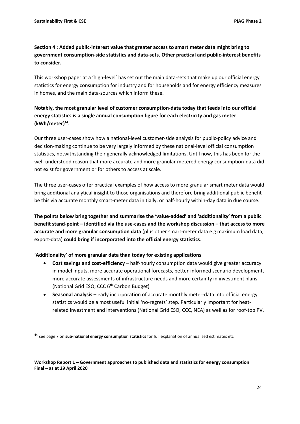## **Section 4** : **Added public-interest value that greater access to smart meter data might bring to government consumption-side statistics and data-sets. Other practical and public-interest benefits to consider.**

This workshop paper at a 'high-level' has set out the main data-sets that make up our official energy statistics for energy consumption for industry and for households and for energy efficiency measures in homes, and the main data-sources which inform these.

## **Notably, the most granular level of customer consumption-data today that feeds into our official energy statistics is a single annual consumption figure for each electricity and gas meter (kWh/meter)<sup>44</sup> .**

Our three user-cases show how a national-level customer-side analysis for public-policy advice and decision-making continue to be very largely informed by these national-level official consumption statistics, notwithstanding their generally acknowledged limitations. Until now, this has been for the well-understood reason that more accurate and more granular metered energy consumption-data did not exist for government or for others to access at scale.

The three user-cases offer practical examples of how access to more granular smart meter data would bring additional analytical insight to those organisations and therefore bring additional public benefit be this via accurate monthly smart-meter data initially, or half-hourly within-day data in due course.

**The points below bring together and summarise the 'value-added' and 'additionality' from a public benefit stand-point – identified via the use-cases and the workshop discussion – that access to more accurate and more granular consumption data** (plus other smart-meter data e.g maximum load data, export-data) **could bring if incorporated into the official energy statistics**.

### **'Additionality' of more granular data than today for existing applications**

- **Cost savings and cost-efficiency** half-hourly consumption data would give greater accuracy in model inputs, more accurate operational forecasts, better-informed scenario development, more accurate assessments of infrastructure needs and more certainty in investment plans (National Grid ESO; CCC 6<sup>th</sup> Carbon Budget)
- **•** Seasonal analysis early incorporation of accurate monthly meter-data into official energy statistics would be a most useful initial 'no-regrets' step. Particularly important for heatrelated investment and interventions (National Grid ESO, CCC, NEA) as well as for roof-top PV.

<sup>44</sup> see page 7 on **sub-national energy consumption statistics** for full explanation of annualised estimates etc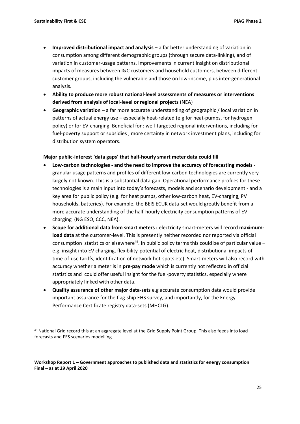- **Improved distributional impact and analysis** a far better understanding of variation in consumption among different demographic groups (through secure data-linking), and of variation in customer-usage patterns. Improvements in current insight on distributional impacts of measures between I&C customers and household customers, between different customer groups, including the vulnerable and those on low-income, plus inter-generational analysis.
- **Ability to produce more robust national-level assessments of measures or interventions derived from analysis of local-level or regional projects** (NEA)
- **Geographic variation** a far more accurate understanding of geographic / local variation in patterns of actual energy use – especially heat-related (e.g for heat-pumps, for hydrogen policy) or for EV-charging. Beneficial for : well-targeted regional interventions, including for fuel-poverty support or subsidies ; more certainty in network investment plans, including for distribution system operators.

#### **Major public-interest 'data gaps' that half-hourly smart meter data could fill**

- **Low-carbon technologies - and the need to improve the accuracy of forecasting models**  granular usage patterns and profiles of different low-carbon technologies are currently very largely not known. This is a substantial data-gap. Operational performance profiles for these technologies is a main input into today's forecasts, models and scenario development - and a key area for public policy (e.g. for heat pumps, other low-carbon heat, EV-charging, PV households, batteries). For example, the BEIS ECUK data-set would greatly benefit from a more accurate understanding of the half-hourly electricity consumption patterns of EV charging (NG ESO, CCC, NEA).
- **Scope for additional data from smart meters :** electricity smart-meters will record **maximumload data** at the customer-level. This is presently neither recorded nor reported via official consumption statistics or elsewhere<sup>45</sup>. In public policy terms this could be of particular value e.g. insight into EV charging, flexibility-potential of electric heat, distributional impacts of time-of-use tariffs, identification of network hot-spots etc). Smart-meters will also record with accuracy whether a meter is in **pre-pay mode** which is currently not reflected in official statistics and could offer useful insight for the fuel-poverty statistics, especially where appropriately linked with other data.
- **Quality assurance of other major data-sets** e.g accurate consumption data would provide important assurance for the flag-ship EHS survey, and importantly, for the Energy Performance Certificate registry data-sets (MHCLG).

<sup>45</sup> National Grid record this at an aggregate level at the Grid Supply Point Group. This also feeds into load forecasts and FES scenarios modelling.

**Workshop Report 1 – Government approaches to published data and statistics for energy consumption Final – as at 29 April 2020**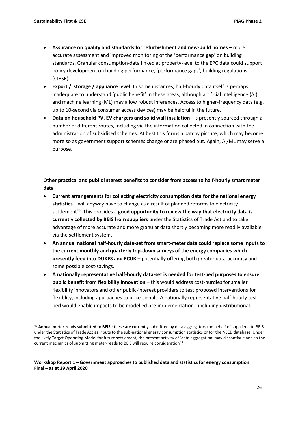- **Assurance on quality and standards for refurbishment and new-build homes** more accurate assessment and improved monitoring of the 'performance gap' on building standards. Granular consumption-data linked at property-level to the EPC data could support policy development on building performance, 'performance gaps', building regulations (CIBSE).
- **Export / storage / appliance level**: In some instances, half-hourly data itself is perhaps inadequate to understand 'public benefit' in these areas, although artificial intelligence (AI) and machine learning (ML) may allow robust inferences. Access to higher-frequency data (e.g. up to 10-second via consumer access devices) may be helpful in the future.
- **Data on household PV, EV chargers and solid wall insulation** is presently sourced through a number of different routes, including via the information collected in connection with the administration of subsidised schemes. At best this forms a patchy picture, which may become more so as government support schemes change or are phased out. Again, AI/ML may serve a purpose.

**Other practical and public interest benefits to consider from access to half-hourly smart meter data** 

- **Current arrangements for collecting electricity consumption data for the national energy statistics** – will anyway have to change as a result of planned reforms to electricity settlement<sup>46</sup>. This provides a **good opportunity to review the way that electricity data is currently collected by BEIS from suppliers** under the Statistics of Trade Act and to take advantage of more accurate and more granular data shortly becoming more readily available via the settlement system.
- **An annual national half-hourly data-set from smart-meter data could replace some inputs to the current monthly and quarterly top-down surveys of the energy companies which presently feed into DUKES and ECUK –** potentially offering both greater data-accuracy and some possible cost-savings.
- **A nationally representative half-hourly data-set is needed for test-bed purposes to ensure public benefit from flexibility innovation** – this would address cost-hurdles for smaller flexibility innovators and other public-interest providers to test proposed interventions for flexiblity, including approaches to price-signals. A nationally representative half-hourly testbed would enable impacts to be modelled pre-implementation - including distributional

<sup>46</sup> **Annual meter-reads submitted to BEIS :** these are currently submitted by data aggregators (on behalf of suppliers) to BEIS under the Statistics of Trade Act as inputs to the sub-national energy consumption statistics or for the NEED database. Under the likely Target Operating Model for future settlement, the present activity of 'data aggregation' may discontinue and so the current mechanics of submitting meter-reads to BEIS will require consideration<sup>46</sup>

**Workshop Report 1 – Government approaches to published data and statistics for energy consumption Final – as at 29 April 2020**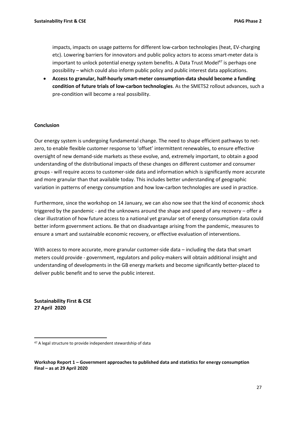impacts, impacts on usage patterns for different low-carbon technologies (heat, EV-charging etc). Lowering barriers for innovators and public policy actors to access smart-meter data is important to unlock potential energy system benefits. A Data Trust Model $47$  is perhaps one possibility – which could also inform public policy and public interest data applications.

• **Access to granular, half-hourly smart-meter consumption-data should become a funding condition of future trials of low-carbon technologies**. As the SMETS2 rollout advances, such a pre-condition will become a real possibility.

#### **Conclusion**

Our energy system is undergoing fundamental change. The need to shape efficient pathways to netzero, to enable flexible customer response to 'offset' intermittent renewables, to ensure effective oversight of new demand-side markets as these evolve, and, extremely important, to obtain a good understanding of the distributional impacts of these changes on different customer and consumer groups - will require access to customer-side data and information which is significantly more accurate and more granular than that available today. This includes better understanding of geographic variation in patterns of energy consumption and how low-carbon technologies are used in practice.

Furthermore, since the workshop on 14 January, we can also now see that the kind of economic shock triggered by the pandemic - and the unknowns around the shape and speed of any recovery – offer a clear illustration of how future access to a national yet granular set of energy consumption data could better inform government actions. Be that on disadvantage arising from the pandemic, measures to ensure a smart and sustainable economic recovery, or effective evaluation of interventions.

With access to more accurate, more granular customer-side data – including the data that smart meters could provide - government, regulators and policy-makers will obtain additional insight and understanding of developments in the GB energy markets and become significantly better-placed to deliver public benefit and to serve the public interest.

**Sustainability First & CSE 27 April 2020**

<sup>&</sup>lt;sup>47</sup> A legal structure to provide independent stewardship of data

**Workshop Report 1 – Government approaches to published data and statistics for energy consumption Final – as at 29 April 2020**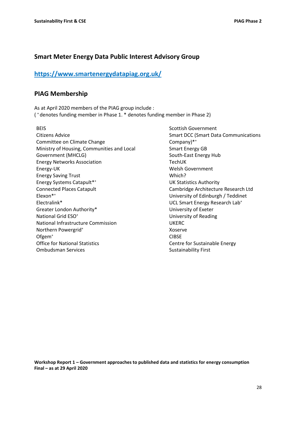## **Smart Meter Energy Data Public Interest Advisory Group**

## **<https://www.smartenergydatapiag.org.uk/>**

## **PIAG Membership**

As at April 2020 members of the PIAG group include : ( <sup>+</sup> denotes funding member in Phase 1. \* denotes funding member in Phase 2)

BEIS Citizens Advice Committee on Climate Change Ministry of Housing, Communities and Local Government (MHCLG) Energy Networks Association Energy-UK Energy Saving Trust Energy Systems Catapult\*<sup>+</sup> Connected Places Catapult Elexon\* + Electralink\* Greater London Authority\* National Grid ESO<sup>+</sup> National Infrastructure Commission Northern Powergrid<sup>+</sup> Ofgem<sup>+</sup> Office for National Statistics Ombudsman Services

Scottish Government Smart DCC (Smart Data Communications Company)\*<sup>+</sup> Smart Energy GB South-East Energy Hub TechUK Welsh Government Which? UK Statistics Authority Cambridge Architecture Research Ltd University of Edinburgh / Teddinet UCL Smart Energy Research Lab<sup>+</sup> University of Exeter University of Reading UKERC Xoserve CIBSE Centre for Sustainable Energy Sustainability First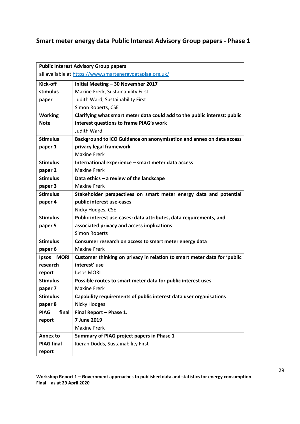## **Smart meter energy data Public Interest Advisory Group papers - Phase 1**

| <b>Public Interest Advisory Group papers</b>             |                                                                           |
|----------------------------------------------------------|---------------------------------------------------------------------------|
| all available at https://www.smartenergydatapiag.org.uk/ |                                                                           |
| Kick-off                                                 | Initial Meeting - 30 November 2017                                        |
| stimulus                                                 | Maxine Frerk, Sustainability First                                        |
| paper                                                    | Judith Ward, Sustainability First                                         |
|                                                          | Simon Roberts, CSE                                                        |
| <b>Working</b>                                           | Clarifying what smart meter data could add to the public interest: public |
| <b>Note</b>                                              | interest questions to frame PIAG's work                                   |
|                                                          | <b>Judith Ward</b>                                                        |
| <b>Stimulus</b>                                          | Background to ICO Guidance on anonymisation and annex on data access      |
| paper 1                                                  | privacy legal framework                                                   |
|                                                          | <b>Maxine Frerk</b>                                                       |
| <b>Stimulus</b>                                          | International experience - smart meter data access                        |
| paper 2                                                  | <b>Maxine Frerk</b>                                                       |
| <b>Stimulus</b>                                          | Data ethics - a review of the landscape                                   |
| paper 3                                                  | <b>Maxine Frerk</b>                                                       |
| <b>Stimulus</b>                                          | Stakeholder perspectives on smart meter energy data and potential         |
| paper 4                                                  | public interest use-cases                                                 |
|                                                          | Nicky Hodges, CSE                                                         |
| <b>Stimulus</b>                                          | Public interest use-cases: data attributes, data requirements, and        |
| paper 5                                                  | associated privacy and access implications                                |
|                                                          | Simon Roberts                                                             |
| <b>Stimulus</b>                                          | Consumer research on access to smart meter energy data                    |
| paper 6                                                  | <b>Maxine Frerk</b>                                                       |
| <b>Ipsos</b><br>MORI                                     | Customer thinking on privacy in relation to smart meter data for 'public  |
| research                                                 | interest' use                                                             |
| report                                                   | <b>Ipsos MORI</b>                                                         |
| <b>Stimulus</b>                                          | Possible routes to smart meter data for public interest uses              |
| paper 7                                                  | Maxine Frerk                                                              |
| <b>Stimulus</b>                                          | Capability requirements of public interest data user organisations        |
| paper 8                                                  | Nicky Hodges                                                              |
| <b>PIAG</b><br>final                                     | Final Report - Phase 1.                                                   |
| report                                                   | 7 June 2019                                                               |
|                                                          | <b>Maxine Frerk</b>                                                       |
| <b>Annex to</b>                                          | Summary of PIAG project papers in Phase 1                                 |
| <b>PIAG final</b>                                        | Kieran Dodds, Sustainability First                                        |
| report                                                   |                                                                           |